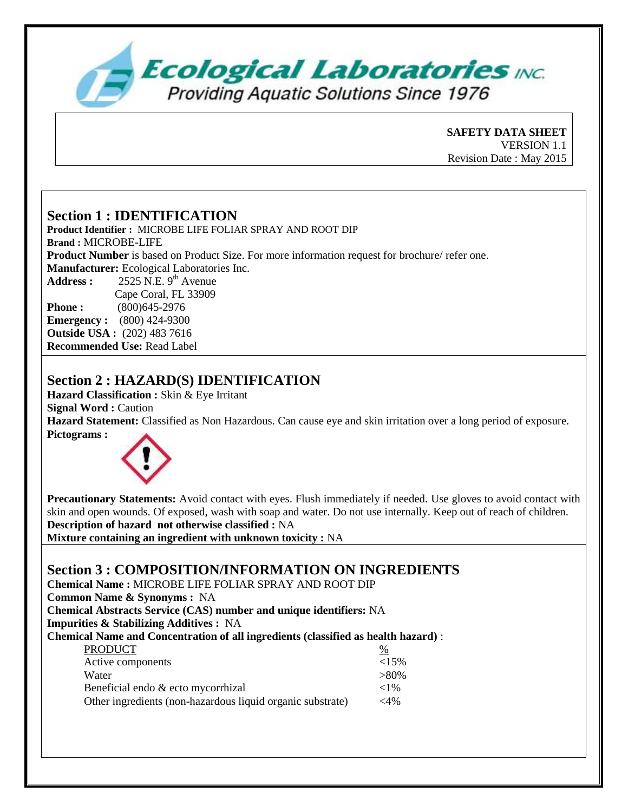

**SAFETY DATA SHEET**  VERSION 1.1 Revision Date : May 2015

## **Section 1 : IDENTIFICATION**

**Product Identifier :** MICROBE LIFE FOLIAR SPRAY AND ROOT DIP **Brand :** MICROBE-LIFE **Product Number** is based on Product Size. For more information request for brochure/ refer one. **Manufacturer:** Ecological Laboratories Inc. Address :  $2525$  N.E. 9<sup>th</sup> Avenue Cape Coral, FL 33909 **Phone :** (800)645-2976 **Emergency :** (800) 424-9300 **Outside USA :** (202) 483 7616 **Recommended Use:** Read Label

# **Section 2 : HAZARD(S) IDENTIFICATION**

**Hazard Classification :** Skin & Eye Irritant **Signal Word :** Caution **Hazard Statement:** Classified as Non Hazardous. Can cause eye and skin irritation over a long period of exposure. **Pictograms :** 



**Precautionary Statements:** Avoid contact with eyes. Flush immediately if needed. Use gloves to avoid contact with skin and open wounds. Of exposed, wash with soap and water. Do not use internally. Keep out of reach of children. **Description of hazard not otherwise classified :** NA

**Mixture containing an ingredient with unknown toxicity :** NA

## **Section 3 : COMPOSITION/INFORMATION ON INGREDIENTS**

**Chemical Name :** MICROBE LIFE FOLIAR SPRAY AND ROOT DIP

**Common Name & Synonyms :** NA

**Chemical Abstracts Service (CAS) number and unique identifiers:** NA **Impurities & Stabilizing Additives :** NA

**Chemical Name and Concentration of all ingredients (classified as health hazard)** :

| <b>PRODUCT</b>                                             | %         |
|------------------------------------------------------------|-----------|
| Active components                                          | ${<}15\%$ |
| Water                                                      | $>80\%$   |
| Beneficial endo & ecto mycorrhizal                         | ${<}1\%$  |
| Other ingredients (non-hazardous liquid organic substrate) | ${<}4\%$  |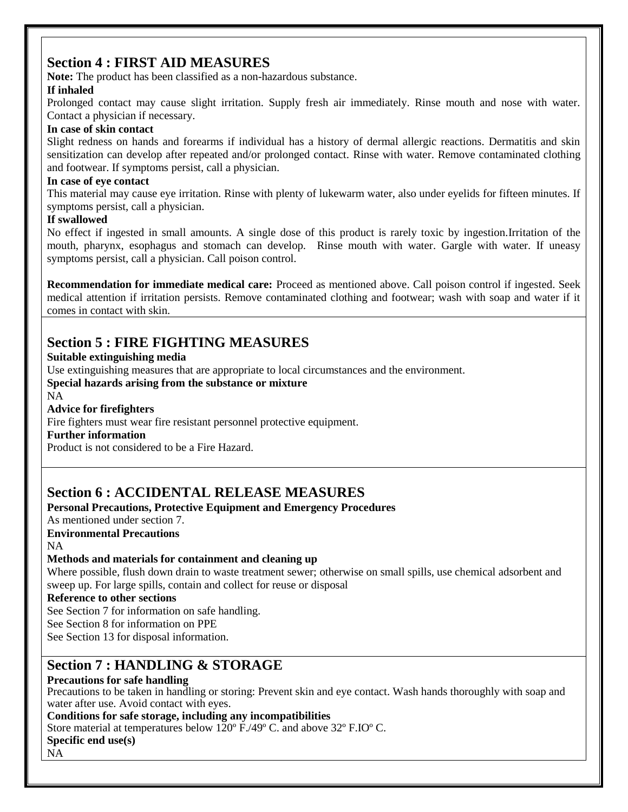# **Section 4 : FIRST AID MEASURES**

**Note:** The product has been classified as a non-hazardous substance.

## **If inhaled**

Prolonged contact may cause slight irritation. Supply fresh air immediately. Rinse mouth and nose with water. Contact a physician if necessary.

## **In case of skin contact**

Slight redness on hands and forearms if individual has a history of dermal allergic reactions. Dermatitis and skin sensitization can develop after repeated and/or prolonged contact. Rinse with water. Remove contaminated clothing and footwear. If symptoms persist, call a physician.

## **In case of eye contact**

This material may cause eye irritation. Rinse with plenty of lukewarm water, also under eyelids for fifteen minutes. If symptoms persist, call a physician.

#### **If swallowed**

No effect if ingested in small amounts. A single dose of this product is rarely toxic by ingestion.Irritation of the mouth, pharynx, esophagus and stomach can develop. Rinse mouth with water. Gargle with water. If uneasy symptoms persist, call a physician. Call poison control.

**Recommendation for immediate medical care:** Proceed as mentioned above. Call poison control if ingested. Seek medical attention if irritation persists. Remove contaminated clothing and footwear; wash with soap and water if it comes in contact with skin.

# **Section 5 : FIRE FIGHTING MEASURES**

## **Suitable extinguishing media**

Use extinguishing measures that are appropriate to local circumstances and the environment.

## **Special hazards arising from the substance or mixture**

NA

## **Advice for firefighters**

Fire fighters must wear fire resistant personnel protective equipment.

#### **Further information**

Product is not considered to be a Fire Hazard.

# **Section 6 : ACCIDENTAL RELEASE MEASURES**

## **Personal Precautions, Protective Equipment and Emergency Procedures**

As mentioned under section 7.

**Environmental Precautions**

NA

## **Methods and materials for containment and cleaning up**

Where possible, flush down drain to waste treatment sewer; otherwise on small spills, use chemical adsorbent and sweep up. For large spills, contain and collect for reuse or disposal

## **Reference to other sections**

See Section 7 for information on safe handling.

See Section 8 for information on PPE

See Section 13 for disposal information.

## **Section 7 : HANDLING & STORAGE**

## **Precautions for safe handling**

Precautions to be taken in handling or storing: Prevent skin and eye contact. Wash hands thoroughly with soap and water after use. Avoid contact with eyes.

**Conditions for safe storage, including any incompatibilities**

Store material at temperatures below 120º F./49º C. and above 32º F.IOº C.

#### **Specific end use(s)**

NA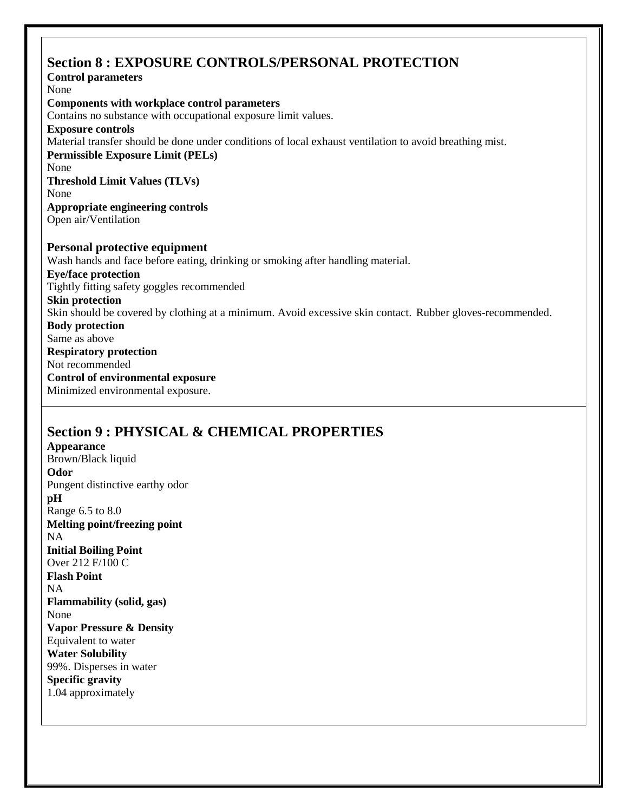## **Section 8 : EXPOSURE CONTROLS/PERSONAL PROTECTION**

**Control parameters** None **Components with workplace control parameters** Contains no substance with occupational exposure limit values. **Exposure controls** Material transfer should be done under conditions of local exhaust ventilation to avoid breathing mist. **Permissible Exposure Limit (PELs)** None **Threshold Limit Values (TLVs)** None **Appropriate engineering controls** Open air/Ventilation **Personal protective equipment** Wash hands and face before eating, drinking or smoking after handling material. **Eye/face protection** Tightly fitting safety goggles recommended **Skin protection** Skin should be covered by clothing at a minimum. Avoid excessive skin contact. Rubber gloves-recommended. **Body protection** Same as above **Respiratory protection** Not recommended **Control of environmental exposure** Minimized environmental exposure.

# **Section 9 : PHYSICAL & CHEMICAL PROPERTIES**

**Appearance** Brown/Black liquid **Odor** Pungent distinctive earthy odor **pH** Range 6.5 to 8.0 **Melting point/freezing point** NA **Initial Boiling Point** Over 212 F/100 C **Flash Point**  NA **Flammability (solid, gas)** None **Vapor Pressure & Density** Equivalent to water **Water Solubility** 99%. Disperses in water **Specific gravity**  1.04 approximately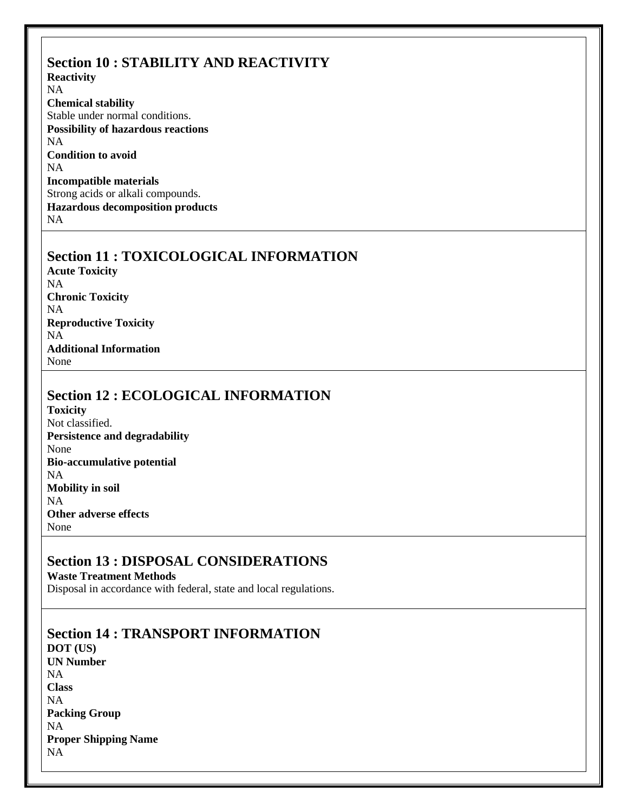#### **Section 10 : STABILITY AND REACTIVITY Reactivity** NA **Chemical stability**  Stable under normal conditions. **Possibility of hazardous reactions** NA **Condition to avoid** NA **Incompatible materials** Strong acids or alkali compounds. **Hazardous decomposition products**

NA

# **Section 11 : TOXICOLOGICAL INFORMATION**

**Acute Toxicity** NA **Chronic Toxicity** NA **Reproductive Toxicity** NA **Additional Information** None

# **Section 12 : ECOLOGICAL INFORMATION**

**Toxicity** Not classified. **Persistence and degradability** None **Bio-accumulative potential** NA **Mobility in soil** NA **Other adverse effects** None

## **Section 13 : DISPOSAL CONSIDERATIONS**

**Waste Treatment Methods** Disposal in accordance with federal, state and local regulations.

**Section 14 : TRANSPORT INFORMATION DOT (US) UN Number** NA **Class** NA **Packing Group**  NA **Proper Shipping Name** NA